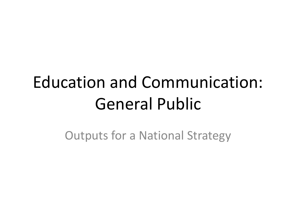#### Education and Communication: General Public

Outputs for a National Strategy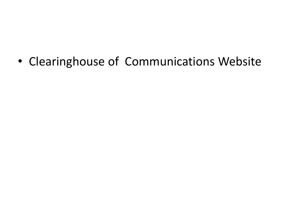• Clearinghouse of Communications Website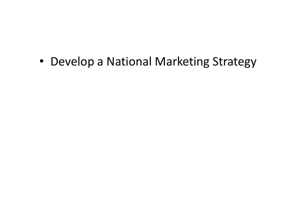• Develop a National Marketing Strategy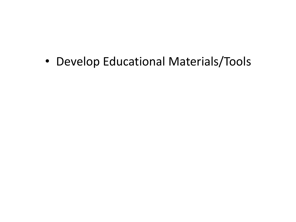• Develop Educational Materials/Tools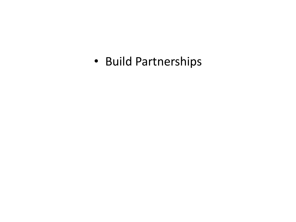• Build Partnerships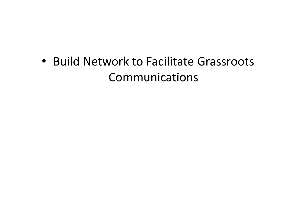• Build Network to Facilitate Grassroots Communications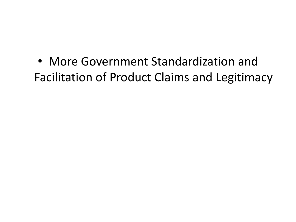• More Government Standardization and Facilitation of Product Claims and Legitimacy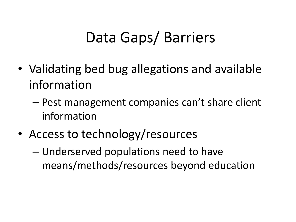#### Data Gaps/ Barriers

- Validating bed bug allegations and available information
	- Pest management companies can't share client information
- Access to technology/resources

– Underserved populations need to have means/methods/resources beyond education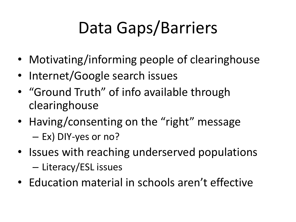# Data Gaps/Barriers

- Motivating/informing people of clearinghouse
- Internet/Google search issues
- "Ground Truth" of info available through clearinghouse
- Having/consenting on the "right" message – Ex) DIY-yes or no?
- Issues with reaching underserved populations – Literacy/ESL issues
- Education material in schools aren't effective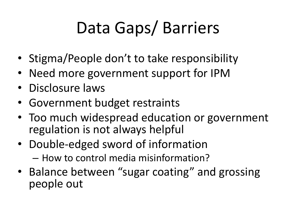# Data Gaps/ Barriers

- Stigma/People don't to take responsibility
- Need more government support for IPM
- Disclosure laws
- Government budget restraints
- Too much widespread education or government regulation is not always helpful
- Double-edged sword of information – How to control media misinformation?
- Balance between "sugar coating" and grossing people out